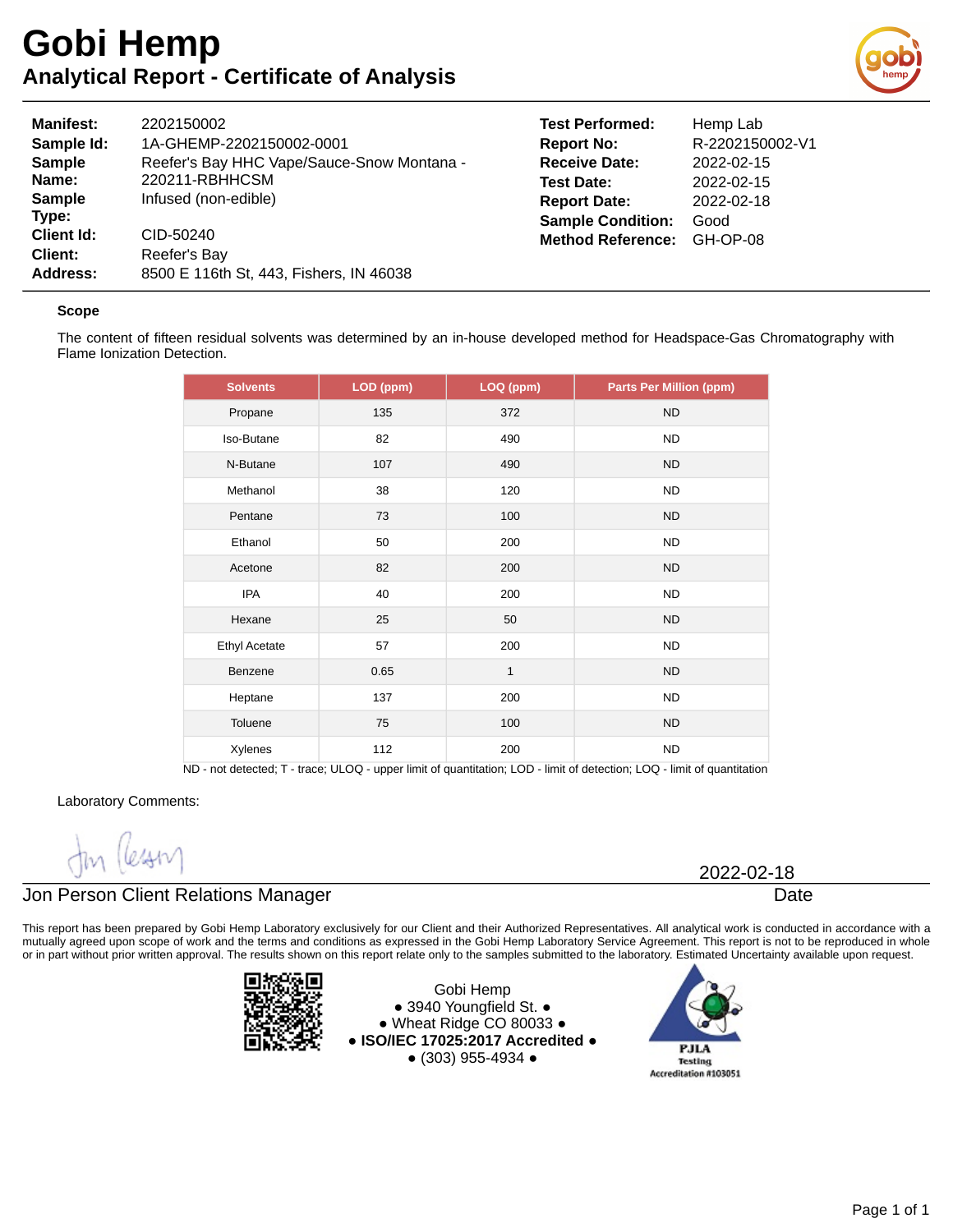

| <b>Manifest:</b>                                  | 2202150002                                                           |
|---------------------------------------------------|----------------------------------------------------------------------|
| Sample Id:                                        | 1A-GHEMP-2202150002-0001                                             |
| <b>Sample</b>                                     | Reefer's Bay HHC Vape/Sauce-Snow Montana -                           |
| Name:                                             | 220211-RBHHCSM                                                       |
| <b>Sample</b>                                     | Infused (non-edible)                                                 |
| Type:<br><b>Client Id:</b><br>Client:<br>Address: | CID-50240<br>Reefer's Bay<br>8500 E 116th St, 443, Fishers, IN 46038 |

| <b>Test Performed:</b>   | Hemp Lab        |
|--------------------------|-----------------|
| <b>Report No:</b>        | R-2202150002-V1 |
| <b>Receive Date:</b>     | 2022-02-15      |
| <b>Test Date:</b>        | 2022-02-15      |
| <b>Report Date:</b>      | 2022-02-18      |
| <b>Sample Condition:</b> | Good            |
| <b>Method Reference:</b> | GH-OP-08        |

#### **Scope**

The content of fifteen residual solvents was determined by an in-house developed method for Headspace-Gas Chromatography with Flame Ionization Detection.

| <b>Solvents</b>      | LOD (ppm) | LOQ (ppm) | <b>Parts Per Million (ppm)</b> |
|----------------------|-----------|-----------|--------------------------------|
| Propane              | 135       | 372       | <b>ND</b>                      |
| Iso-Butane           | 82        | 490       | <b>ND</b>                      |
| N-Butane             | 107       | 490       | <b>ND</b>                      |
| Methanol             | 38        | 120       | <b>ND</b>                      |
| Pentane              | 73        | 100       | <b>ND</b>                      |
| Ethanol              | 50        | 200       | <b>ND</b>                      |
| Acetone              | 82        | 200       | <b>ND</b>                      |
| <b>IPA</b>           | 40        | 200       | <b>ND</b>                      |
| Hexane               | 25        | 50        | <b>ND</b>                      |
| <b>Ethyl Acetate</b> | 57        | 200       | <b>ND</b>                      |
| Benzene              | 0.65      | $1\,$     | <b>ND</b>                      |
| Heptane              | 137       | 200       | <b>ND</b>                      |
| Toluene              | 75        | 100       | <b>ND</b>                      |
| Xylenes              | 112       | 200       | <b>ND</b>                      |

ND - not detected; T - trace; ULOQ - upper limit of quantitation; LOD - limit of detection; LOQ - limit of quantitation

Laboratory Comments:

### Jon Person Client Relations Manager

This report has been prepared by Gobi Hemp Laboratory exclusively for our Client and their Authorized Representatives. All analytical work is conducted in accordance with a mutually agreed upon scope of work and the terms and conditions as expressed in the Gobi Hemp Laboratory Service Agreement. This report is not to be reproduced in whole or in part without prior written approval. The results shown on this report relate only to the samples submitted to the laboratory. Estimated Uncertainty available upon request.



Gobi Hemp ● 3940 Youngfield St. ● ● Wheat Ridge CO 80033 ● **● ISO/IEC 17025:2017 Accredited ●** ● (303) 955-4934 ●



2022-02-18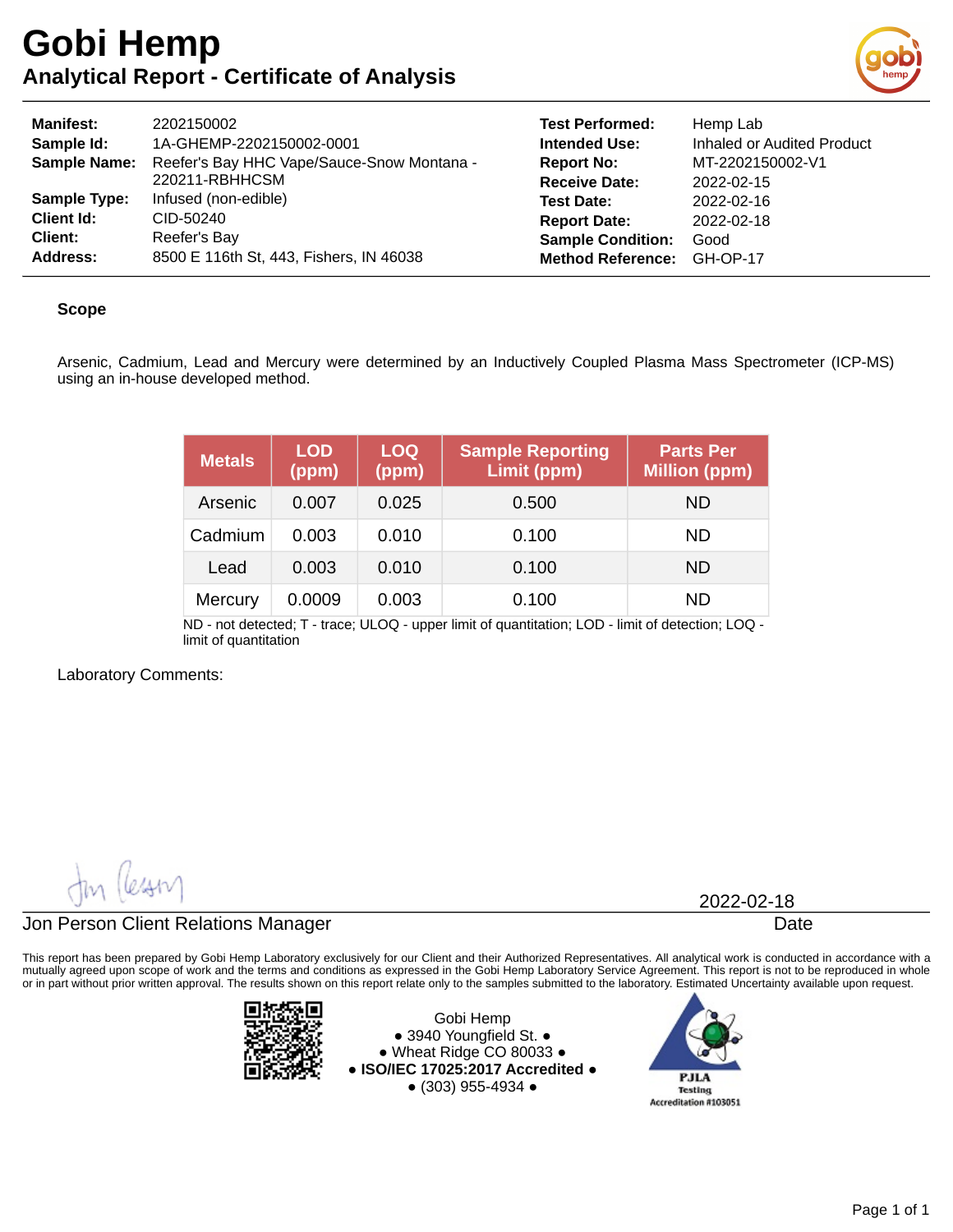

| <b>Manifest:</b><br>Sample Id:<br><b>Sample Name:</b> | 2202150002<br>1A-GHEMP-2202150002-0001<br>Reefer's Bay HHC Vape/Sauce-Snow Montana -<br>220211-RBHHCSM | <b>Test Performed:</b><br><b>Intended Use:</b><br><b>Report No:</b><br><b>Receive Date:</b> | Hemp Lab<br>Inhaled or Audited Product<br>MT-2202150002-V1<br>2022-02-15 |
|-------------------------------------------------------|--------------------------------------------------------------------------------------------------------|---------------------------------------------------------------------------------------------|--------------------------------------------------------------------------|
| <b>Sample Type:</b>                                   | Infused (non-edible)                                                                                   | <b>Test Date:</b>                                                                           | 2022-02-16                                                               |
| <b>Client Id:</b>                                     | CID-50240                                                                                              | <b>Report Date:</b>                                                                         | 2022-02-18                                                               |
| <b>Client:</b>                                        | Reefer's Bay                                                                                           | <b>Sample Condition:</b>                                                                    | Good                                                                     |
| Address:                                              | 8500 E 116th St, 443, Fishers, IN 46038                                                                | <b>Method Reference:</b>                                                                    | GH-OP-17                                                                 |

### **Scope**

Arsenic, Cadmium, Lead and Mercury were determined by an Inductively Coupled Plasma Mass Spectrometer (ICP-MS) using an in-house developed method.

| <b>Metals</b> | <b>LOD</b><br>(ppm) | <b>LOQ</b><br>(ppm) | <b>Sample Reporting</b><br>Limit (ppm) | <b>Parts Per</b><br><b>Million (ppm)</b> |
|---------------|---------------------|---------------------|----------------------------------------|------------------------------------------|
| Arsenic       | 0.007               | 0.025               | 0.500                                  | ND.                                      |
| Cadmium       | 0.003               | 0.010               | 0.100                                  | ND.                                      |
| Lead          | 0.003               | 0.010               | 0.100                                  | ND.                                      |
| Mercury       | 0.0009              | 0.003               | 0.100                                  | ND                                       |

ND - not detected; T - trace; ULOQ - upper limit of quantitation; LOD - limit of detection; LOQ limit of quantitation

Laboratory Comments:

 $\mathcal{Q}$ 

### Jon Person Client Relations Manager

This report has been prepared by Gobi Hemp Laboratory exclusively for our Client and their Authorized Representatives. All analytical work is conducted in accordance with a mutually agreed upon scope of work and the terms and conditions as expressed in the Gobi Hemp Laboratory Service Agreement. This report is not to be reproduced in whole or in part without prior written approval. The results shown on this report relate only to the samples submitted to the laboratory. Estimated Uncertainty available upon request.



Gobi Hemp ● 3940 Youngfield St. ● ● Wheat Ridge CO 80033 ● **● ISO/IEC 17025:2017 Accredited ●** ● (303) 955-4934 ●



2022-02-18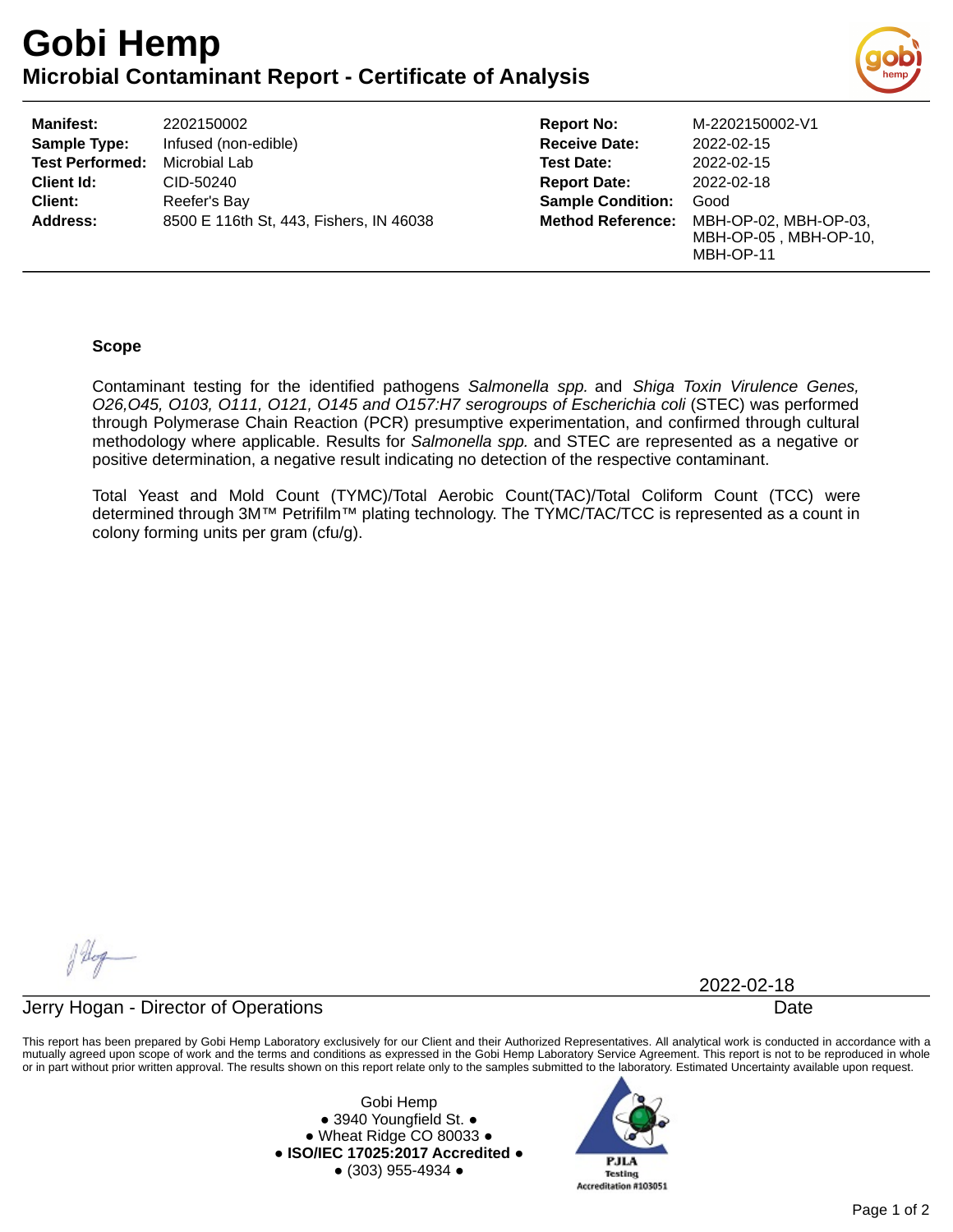# **Gobi Hemp Microbial Contaminant Report - Certificate of Analysis**



| <b>Manifest:</b>       | 2202150002                              | <b>Report No:</b>        | M-2202150002-V1                                             |
|------------------------|-----------------------------------------|--------------------------|-------------------------------------------------------------|
| <b>Sample Type:</b>    | Infused (non-edible)                    | <b>Receive Date:</b>     | 2022-02-15                                                  |
| <b>Test Performed:</b> | Microbial Lab                           | <b>Test Date:</b>        | 2022-02-15                                                  |
| <b>Client Id:</b>      | CID-50240                               | <b>Report Date:</b>      | 2022-02-18                                                  |
| <b>Client:</b>         | Reefer's Bay                            | <b>Sample Condition:</b> | Good                                                        |
| <b>Address:</b>        | 8500 E 116th St, 443, Fishers, IN 46038 | <b>Method Reference:</b> | MBH-OP-02, MBH-OP-03,<br>MBH-OP-05, MBH-OP-10.<br>MBH-OP-11 |

### **Scope**

Contaminant testing for the identified pathogens *Salmonella spp.* and *Shiga Toxin Virulence Genes, O26,O45, O103, O111, O121, O145 and O157:H7 serogroups of Escherichia coli* (STEC) was performed through Polymerase Chain Reaction (PCR) presumptive experimentation, and confirmed through cultural methodology where applicable. Results for *Salmonella spp.* and STEC are represented as a negative or positive determination, a negative result indicating no detection of the respective contaminant.

Total Yeast and Mold Count (TYMC)/Total Aerobic Count(TAC)/Total Coliform Count (TCC) were determined through 3M™ Petrifilm™ plating technology. The TYMC/TAC/TCC is represented as a count in colony forming units per gram (cfu/g).

Alop

2022-02-18

### Jerry Hogan - Director of Operations Date

This report has been prepared by Gobi Hemp Laboratory exclusively for our Client and their Authorized Representatives. All analytical work is conducted in accordance with a mutually agreed upon scope of work and the terms and conditions as expressed in the Gobi Hemp Laboratory Service Agreement. This report is not to be reproduced in whole or in part without prior written approval. The results shown on this report relate only to the samples submitted to the laboratory. Estimated Uncertainty available upon request.

> Gobi Hemp ● 3940 Youngfield St. ● ● Wheat Ridge CO 80033 ● **● ISO/IEC 17025:2017 Accredited ●** ● (303) 955-4934 ●

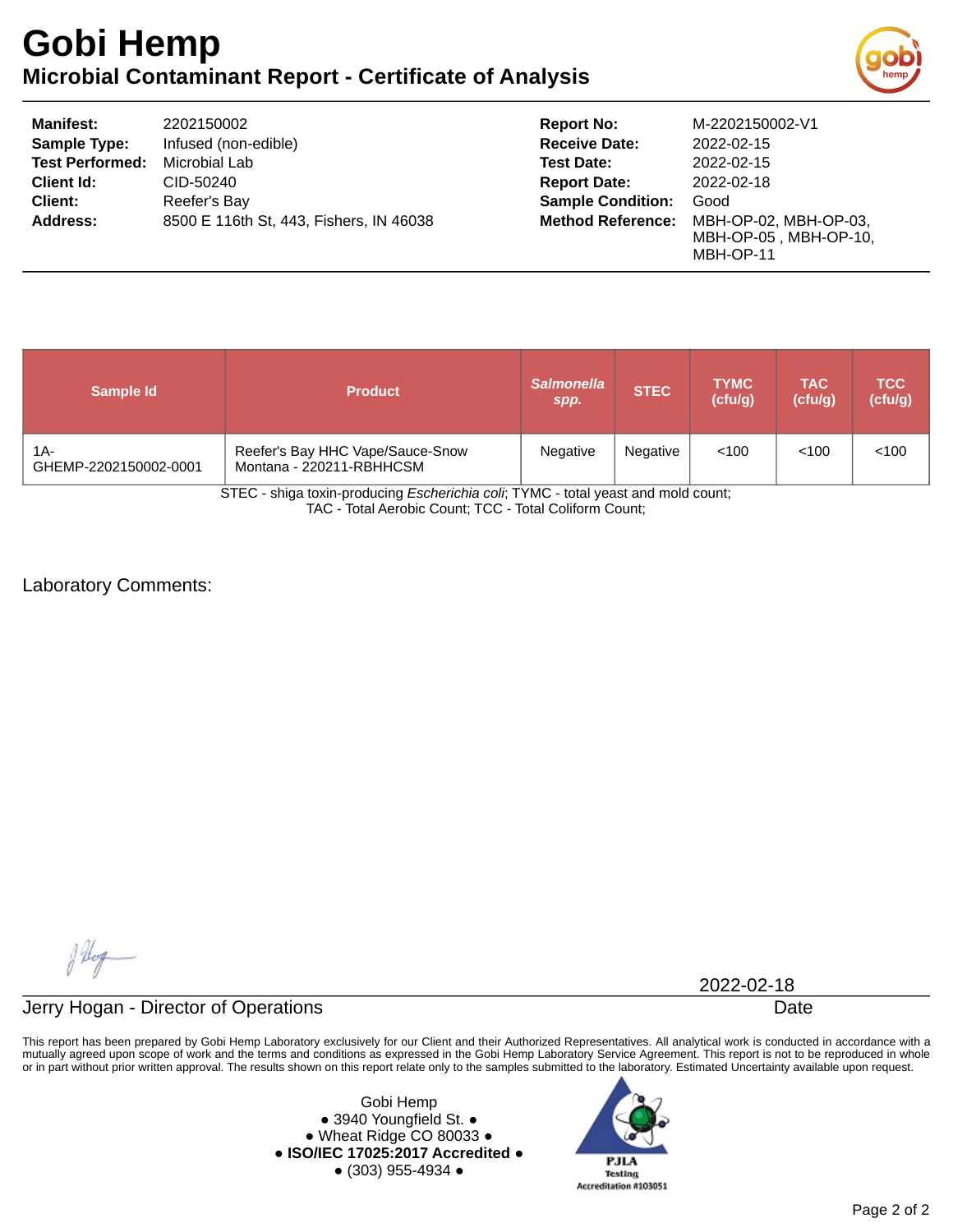# **Gobi Hemp Microbial Contaminant Report - Certificate of Analysis**



| <b>Manifest:</b>       | 2202150002                              | <b>Report No:</b>        | M-2202150002-V1                                             |
|------------------------|-----------------------------------------|--------------------------|-------------------------------------------------------------|
| <b>Sample Type:</b>    | Infused (non-edible)                    | <b>Receive Date:</b>     | 2022-02-15                                                  |
| <b>Test Performed:</b> | Microbial Lab                           | <b>Test Date:</b>        | 2022-02-15                                                  |
| Client Id:             | CID-50240                               | <b>Report Date:</b>      | 2022-02-18                                                  |
| <b>Client:</b>         | Reefer's Bay                            | <b>Sample Condition:</b> | Good                                                        |
| <b>Address:</b>        | 8500 E 116th St, 443, Fishers, IN 46038 | <b>Method Reference:</b> | MBH-OP-02, MBH-OP-03,<br>MBH-OP-05, MBH-OP-10,<br>MBH-OP-11 |

| Sample Id                    | <b>Product</b>                                               | <b>Salmonella</b><br>spp. | <b>STEC</b> | <b>TYMC</b><br>(cfulg) | <b>TAC</b><br>(cfulg) | <b>TCC</b><br>(cfulg) |
|------------------------------|--------------------------------------------------------------|---------------------------|-------------|------------------------|-----------------------|-----------------------|
| 1A-<br>GHEMP-2202150002-0001 | Reefer's Bay HHC Vape/Sauce-Snow<br>Montana - 220211-RBHHCSM | Negative                  | Negative    | < 100                  | < 100                 | < 100                 |

STEC - shiga toxin-producing *Escherichia coli*; TYMC - total yeast and mold count; TAC - Total Aerobic Count; TCC - Total Coliform Count;

Laboratory Comments:

flog

2022-02-18

Jerry Hogan - Director of Operations **Date** 

This report has been prepared by Gobi Hemp Laboratory exclusively for our Client and their Authorized Representatives. All analytical work is conducted in accordance with a mutually agreed upon scope of work and the terms and conditions as expressed in the Gobi Hemp Laboratory Service Agreement. This report is not to be reproduced in whole or in part without prior written approval. The results shown on this report relate only to the samples submitted to the laboratory. Estimated Uncertainty available upon request.

> Gobi Hemp ● 3940 Youngfield St. ● ● Wheat Ridge CO 80033 ● **● ISO/IEC 17025:2017 Accredited ●** ● (303) 955-4934 ●

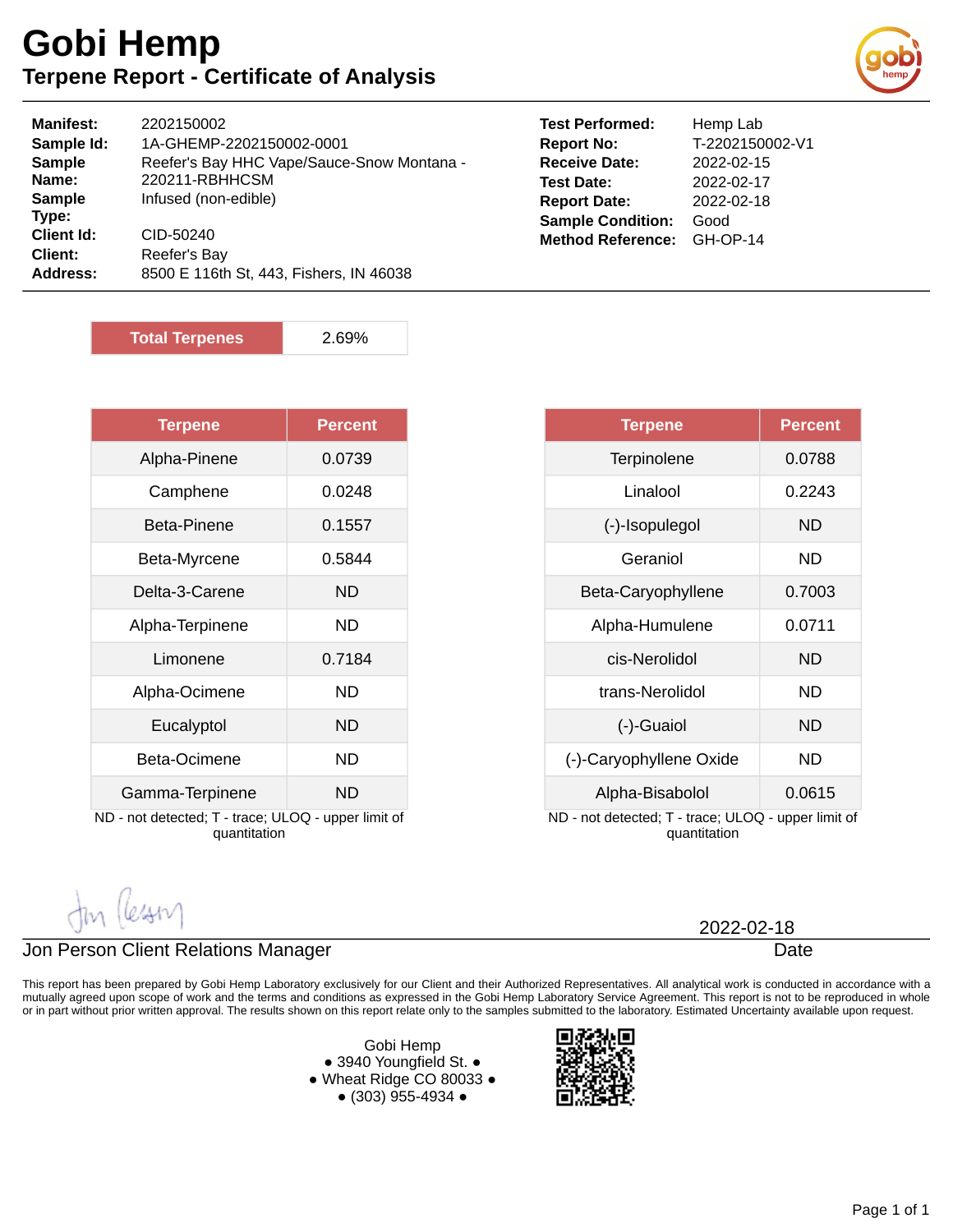## **Gobi Hemp Terpene Report - Certificate of Analysis**



| <b>Manifest:</b>                           | 2202150002                                                           |
|--------------------------------------------|----------------------------------------------------------------------|
| Sample Id:                                 | 1A-GHEMP-2202150002-0001                                             |
| <b>Sample</b>                              | Reefer's Bay HHC Vape/Sauce-Snow Montana -                           |
| Name:                                      | 220211-RBHHCSM                                                       |
| <b>Sample</b>                              | Infused (non-edible)                                                 |
| Type:<br>Client Id:<br>Client:<br>Address: | CID-50240<br>Reefer's Bay<br>8500 E 116th St, 443, Fishers, IN 46038 |

| <b>Test Performed:</b>   | Hemp Lab        |
|--------------------------|-----------------|
| <b>Report No:</b>        | T-2202150002-V1 |
| <b>Receive Date:</b>     | 2022-02-15      |
| <b>Test Date:</b>        | 2022-02-17      |
| <b>Report Date:</b>      | 2022-02-18      |
| <b>Sample Condition:</b> | Good            |
| <b>Method Reference:</b> | <b>GH-OP-14</b> |

**Total Terpenes** 2.69%

| <b>Terpene</b>                                      | <b>Percent</b> |  |  |
|-----------------------------------------------------|----------------|--|--|
| Alpha-Pinene                                        | 0.0739         |  |  |
| Camphene                                            | 0.0248         |  |  |
| Beta-Pinene                                         | 0.1557         |  |  |
| Beta-Myrcene                                        | 0.5844         |  |  |
| Delta-3-Carene                                      | <b>ND</b>      |  |  |
| Alpha-Terpinene                                     | ND             |  |  |
| Limonene                                            | 0.7184         |  |  |
| Alpha-Ocimene                                       | ND             |  |  |
| Eucalyptol                                          | <b>ND</b>      |  |  |
| Beta-Ocimene                                        | ND             |  |  |
| Gamma-Terpinene                                     | ND             |  |  |
| ND - not detected; T - trace; ULOQ - upper limit of |                |  |  |

quantitation

| <b>Terpene</b>                                                      | Percent   |  |
|---------------------------------------------------------------------|-----------|--|
| Terpinolene                                                         | 0.0788    |  |
| Linalool                                                            | 0.2243    |  |
| (-)-Isopulegol                                                      | <b>ND</b> |  |
| Geraniol                                                            | ND        |  |
| Beta-Caryophyllene                                                  | 0.7003    |  |
| Alpha-Humulene                                                      | 0.0711    |  |
| cis-Nerolidol                                                       | ND        |  |
| trans-Nerolidol                                                     | ND        |  |
| (-)-Guaiol                                                          | ND        |  |
| (-)-Caryophyllene Oxide                                             | ND        |  |
| Alpha-Bisabolol                                                     | 0.0615    |  |
| ND - not detected; T - trace; ULOQ - upper limit of<br>quantitation |           |  |

### Jon Person Client Relations Manager

This report has been prepared by Gobi Hemp Laboratory exclusively for our Client and their Authorized Representatives. All analytical work is conducted in accordance with a mutually agreed upon scope of work and the terms and conditions as expressed in the Gobi Hemp Laboratory Service Agreement. This report is not to be reproduced in whole or in part without prior written approval. The results shown on this report relate only to the samples submitted to the laboratory. Estimated Uncertainty available upon request.

> Gobi Hemp ● 3940 Youngfield St. ● ● Wheat Ridge CO 80033 ● ● (303) 955-4934 ●



Date 2022-02-18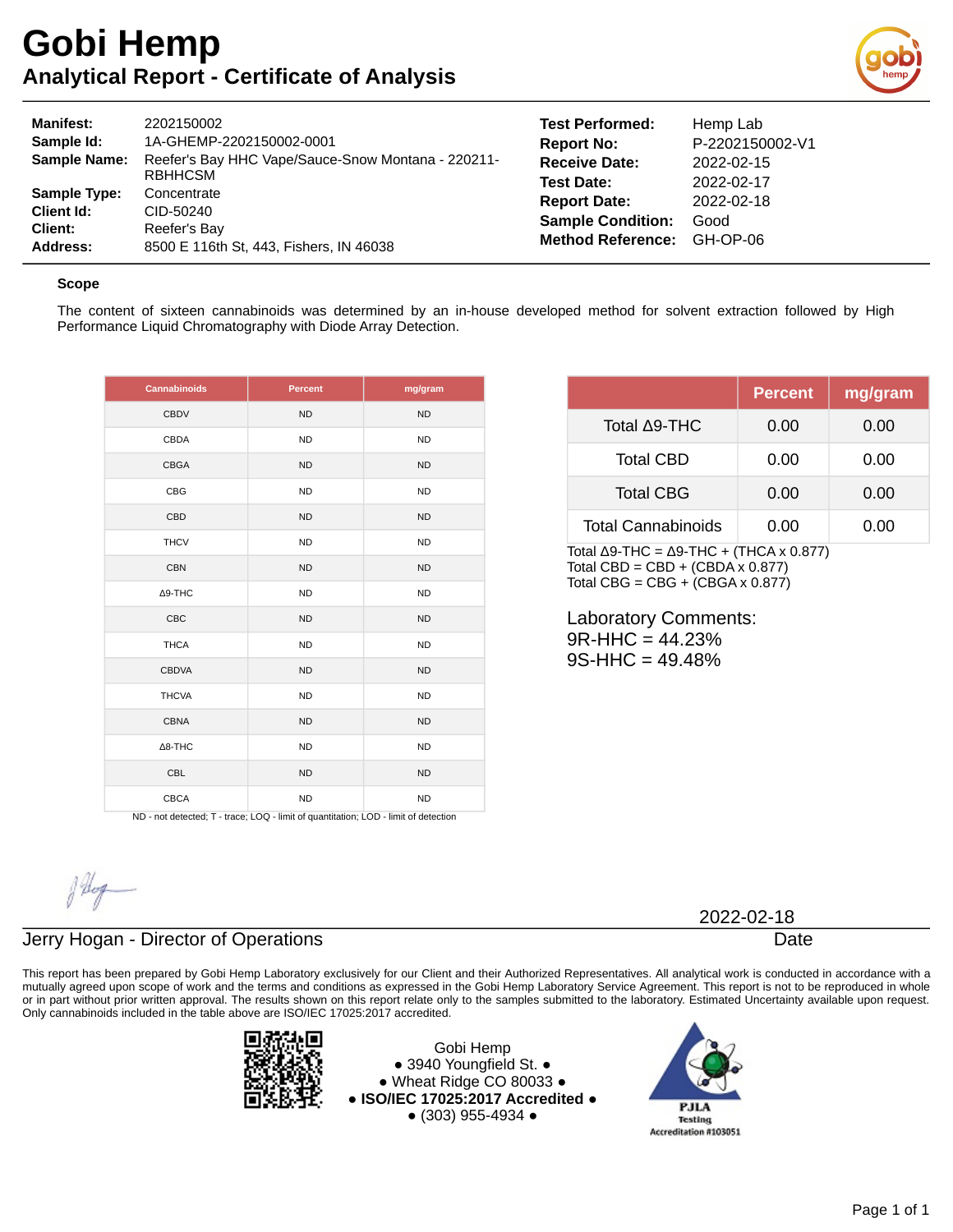

| <b>Manifest:</b><br>Sample Id:<br><b>Sample Name:</b>           | 2202150002<br>1A-GHEMP-2202150002-0001<br>Reefer's Bay HHC Vape/Sauce-Snow Montana - 220211-<br>RBHHCSM | <b>Test Performed:</b><br><b>Report No:</b><br><b>Receive Date:</b><br><b>Test Date:</b> | Hemp Lab<br>P-2202150002-V1<br>2022-02-15<br>2022-02-17 |
|-----------------------------------------------------------------|---------------------------------------------------------------------------------------------------------|------------------------------------------------------------------------------------------|---------------------------------------------------------|
| <b>Sample Type:</b><br><b>Client Id:</b><br>Client:<br>Address: | Concentrate<br>CID-50240<br>Reefer's Bay<br>8500 E 116th St, 443, Fishers, IN 46038                     | <b>Report Date:</b><br><b>Sample Condition:</b><br><b>Method Reference:</b>              | 2022-02-18<br>Good<br>GH-OP-06                          |

#### **Scope**

The content of sixteen cannabinoids was determined by an in-house developed method for solvent extraction followed by High Performance Liquid Chromatography with Diode Array Detection.

| <b>Cannabinoids</b>                                                                                | <b>Percent</b> | mg/gram   |
|----------------------------------------------------------------------------------------------------|----------------|-----------|
| <b>CBDV</b>                                                                                        | <b>ND</b>      | <b>ND</b> |
| CBDA                                                                                               | <b>ND</b>      | <b>ND</b> |
| <b>CBGA</b>                                                                                        | <b>ND</b>      | <b>ND</b> |
| CBG                                                                                                | <b>ND</b>      | <b>ND</b> |
| CBD                                                                                                | <b>ND</b>      | <b>ND</b> |
| <b>THCV</b>                                                                                        | <b>ND</b>      | <b>ND</b> |
| <b>CBN</b>                                                                                         | <b>ND</b>      | <b>ND</b> |
| ∆9-THC                                                                                             | <b>ND</b>      | <b>ND</b> |
| CBC                                                                                                | <b>ND</b>      | <b>ND</b> |
| <b>THCA</b>                                                                                        | <b>ND</b>      | <b>ND</b> |
| <b>CBDVA</b>                                                                                       | <b>ND</b>      | <b>ND</b> |
| <b>THCVA</b>                                                                                       | <b>ND</b>      | <b>ND</b> |
| <b>CBNA</b>                                                                                        | <b>ND</b>      | <b>ND</b> |
| $\Delta$ 8-THC                                                                                     | <b>ND</b>      | ND.       |
| CBL                                                                                                | <b>ND</b>      | <b>ND</b> |
| <b>CBCA</b><br>ND - not detected; T - trace; LOQ - limit of quantitation; LOD - limit of detection | <b>ND</b>      | <b>ND</b> |

|                           | <b>Percent</b> | mg/gram |
|---------------------------|----------------|---------|
| Total ∆9-THC              | 0.00           | 0.00    |
| <b>Total CBD</b>          | 0.00           | 0.00    |
| <b>Total CBG</b>          | 0.00           | 0.00    |
| <b>Total Cannabinoids</b> | 0.00           | 0.00    |

Total Δ9-THC =  $Δ9-THC + (THCA × 0.877)$ Total CBD =  $CBD + (CBDA \times 0.877)$ Total CBG =  $CBG + (CBGA \times 0.877)$ 

Laboratory Comments:  $9R$ -HHC = 44.23% 9S-HHC = 49.48%

### Jerry Hogan - Director of Operations

This report has been prepared by Gobi Hemp Laboratory exclusively for our Client and their Authorized Representatives. All analytical work is conducted in accordance with a mutually agreed upon scope of work and the terms and conditions as expressed in the Gobi Hemp Laboratory Service Agreement. This report is not to be reproduced in whole or in part without prior written approval. The results shown on this report relate only to the samples submitted to the laboratory. Estimated Uncertainty available upon request. Only cannabinoids included in the table above are ISO/IEC 17025:2017 accredited.



Gobi Hemp ● 3940 Youngfield St. ● ● Wheat Ridge CO 80033 ● **● ISO/IEC 17025:2017 Accredited ●** ● (303) 955-4934 ●



2022-02-18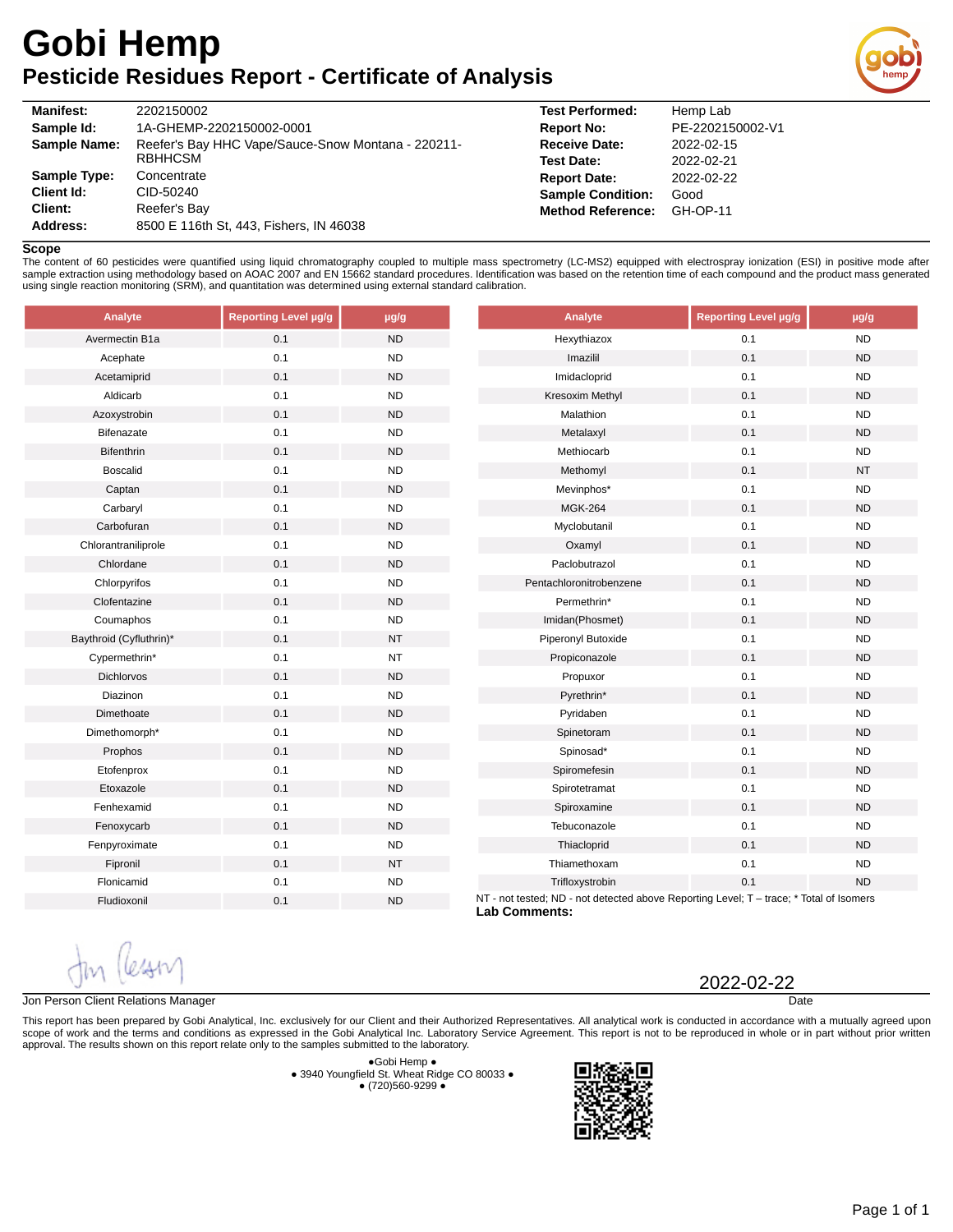# **Gobi Hemp Pesticide Residues Report - Certificate of Analysis**



| <b>Manifest:</b> | 2202150002                                                           |
|------------------|----------------------------------------------------------------------|
| Sample Id:       | 1A-GHEMP-2202150002-0001                                             |
| Sample Name:     | Reefer's Bay HHC Vape/Sauce-Snow Montana - 220211-<br><b>RBHHCSM</b> |
| Sample Type:     | Concentrate                                                          |
| Client Id:       | CID-50240                                                            |
| Client:          | Reefer's Bay                                                         |
| Address:         | 8500 E 116th St, 443, Fishers, IN 46038                              |
|                  |                                                                      |

| <b>Test Performed:</b>   | Hemp Lab         |
|--------------------------|------------------|
| <b>Report No:</b>        | PE-2202150002-V1 |
| <b>Receive Date:</b>     | 2022-02-15       |
| <b>Test Date:</b>        | 2022-02-21       |
| <b>Report Date:</b>      | 2022-02-22       |
| <b>Sample Condition:</b> | Good             |
| <b>Method Reference:</b> | <b>GH-OP-11</b>  |
|                          |                  |

#### **Scope**

The content of 60 pesticides were quantified using liquid chromatography coupled to multiple mass spectrometry (LC-MS2) equipped with electrospray ionization (ESI) in positive mode after sample extraction using methodology based on AOAC 2007 and EN 15662 standard procedures. Identification was based on the retention time of each compound and the product mass generated using single reaction monitoring (SRM), and quantitation was determined using external standard calibration.

| Analyte                 | Reporting Level µg/g | $\mu$ g/g | Analyte                                                                                                         | Reporting Level µg/g | $\mu$ g/g |
|-------------------------|----------------------|-----------|-----------------------------------------------------------------------------------------------------------------|----------------------|-----------|
| Avermectin B1a          | 0.1                  | <b>ND</b> | Hexythiazox                                                                                                     | 0.1                  | <b>ND</b> |
| Acephate                | 0.1                  | <b>ND</b> | Imazilil                                                                                                        | 0.1                  | <b>ND</b> |
| Acetamiprid             | 0.1                  | <b>ND</b> | Imidacloprid                                                                                                    | 0.1                  | <b>ND</b> |
| Aldicarb                | 0.1                  | <b>ND</b> | Kresoxim Methyl                                                                                                 | 0.1                  | <b>ND</b> |
| Azoxystrobin            | 0.1                  | <b>ND</b> | Malathion                                                                                                       | 0.1                  | <b>ND</b> |
| Bifenazate              | 0.1                  | <b>ND</b> | Metalaxyl                                                                                                       | 0.1                  | <b>ND</b> |
| <b>Bifenthrin</b>       | 0.1                  | <b>ND</b> | Methiocarb                                                                                                      | 0.1                  | <b>ND</b> |
| <b>Boscalid</b>         | 0.1                  | <b>ND</b> | Methomyl                                                                                                        | 0.1                  | <b>NT</b> |
| Captan                  | 0.1                  | <b>ND</b> | Mevinphos*                                                                                                      | 0.1                  | <b>ND</b> |
| Carbaryl                | 0.1                  | <b>ND</b> | <b>MGK-264</b>                                                                                                  | 0.1                  | <b>ND</b> |
| Carbofuran              | 0.1                  | <b>ND</b> | Myclobutanil                                                                                                    | 0.1                  | <b>ND</b> |
| Chlorantraniliprole     | 0.1                  | <b>ND</b> | Oxamyl                                                                                                          | 0.1                  | <b>ND</b> |
| Chlordane               | 0.1                  | <b>ND</b> | Paclobutrazol                                                                                                   | 0.1                  | <b>ND</b> |
| Chlorpyrifos            | $0.1\,$              | <b>ND</b> | Pentachloronitrobenzene                                                                                         | 0.1                  | <b>ND</b> |
| Clofentazine            | 0.1                  | <b>ND</b> | Permethrin*                                                                                                     | 0.1                  | <b>ND</b> |
| Coumaphos               | 0.1                  | <b>ND</b> | Imidan(Phosmet)                                                                                                 | 0.1                  | <b>ND</b> |
| Baythroid (Cyfluthrin)* | 0.1                  | <b>NT</b> | Piperonyl Butoxide                                                                                              | 0.1                  | <b>ND</b> |
| Cypermethrin*           | 0.1                  | <b>NT</b> | Propiconazole                                                                                                   | 0.1                  | <b>ND</b> |
| Dichlorvos              | 0.1                  | <b>ND</b> | Propuxor                                                                                                        | 0.1                  | <b>ND</b> |
| Diazinon                | 0.1                  | <b>ND</b> | Pyrethrin*                                                                                                      | 0.1                  | <b>ND</b> |
| Dimethoate              | 0.1                  | <b>ND</b> | Pyridaben                                                                                                       | 0.1                  | <b>ND</b> |
| Dimethomorph*           | 0.1                  | <b>ND</b> | Spinetoram                                                                                                      | 0.1                  | <b>ND</b> |
| Prophos                 | $0.1\,$              | <b>ND</b> | Spinosad*                                                                                                       | $0.1\,$              | <b>ND</b> |
| Etofenprox              | 0.1                  | <b>ND</b> | Spiromefesin                                                                                                    | 0.1                  | <b>ND</b> |
| Etoxazole               | 0.1                  | <b>ND</b> | Spirotetramat                                                                                                   | 0.1                  | <b>ND</b> |
| Fenhexamid              | 0.1                  | <b>ND</b> | Spiroxamine                                                                                                     | 0.1                  | <b>ND</b> |
| Fenoxycarb              | 0.1                  | <b>ND</b> | Tebuconazole                                                                                                    | 0.1                  | <b>ND</b> |
| Fenpyroximate           | 0.1                  | <b>ND</b> | Thiacloprid                                                                                                     | 0.1                  | <b>ND</b> |
| Fipronil                | 0.1                  | <b>NT</b> | Thiamethoxam                                                                                                    | 0.1                  | <b>ND</b> |
| Flonicamid              | 0.1                  | <b>ND</b> | Trifloxystrobin                                                                                                 | 0.1                  | <b>ND</b> |
| Fludioxonil             | 0.1                  | <b>ND</b> | NT - not tested; ND - not detected above Reporting Level; T - trace; * Total of Isomers<br><b>Lab Comments:</b> |                      |           |

#### Jon Person Client Relations Manager

This report has been prepared by Gobi Analytical, Inc. exclusively for our Client and their Authorized Representatives. All analytical work is conducted in accordance with a mutually agreed upon scope of work and the terms and conditions as expressed in the Gobi Analytical Inc. Laboratory Service Agreement. This report is not to be reproduced in whole or in part without prior written approval. The results shown on this report relate only to the samples submitted to the laboratory.

> ●Gobi Hemp ● ● 3940 Youngfield St. Wheat Ridge CO 80033 ● ● (720)560-9299 ●



**Date** 

2022-02-22